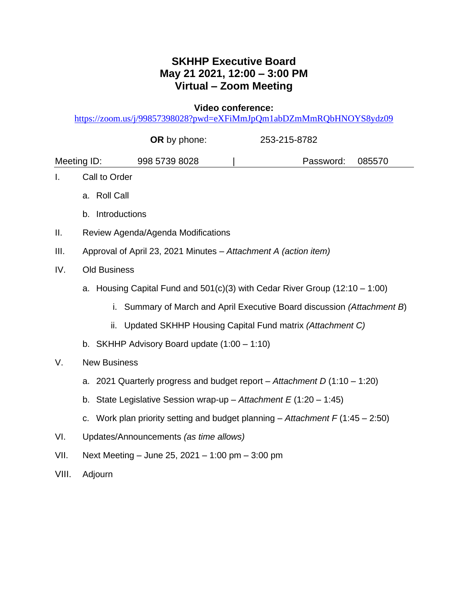## **SKHHP Executive Board May 21 2021, 12:00 – 3:00 PM Virtual – Zoom Meeting**

**Video conference:**

<https://zoom.us/j/99857398028?pwd=eXFiMmJpQm1abDZmMmRQbHNOYS8ydz09>

|             |                     | OR by phone:                                                       | 253-215-8782                                                                    |        |
|-------------|---------------------|--------------------------------------------------------------------|---------------------------------------------------------------------------------|--------|
| Meeting ID: |                     | 998 5739 8028                                                      | Password:                                                                       | 085570 |
| I.          | Call to Order       |                                                                    |                                                                                 |        |
|             | a. Roll Call        |                                                                    |                                                                                 |        |
|             | b. Introductions    |                                                                    |                                                                                 |        |
| ΙΙ.         |                     | Review Agenda/Agenda Modifications                                 |                                                                                 |        |
| III.        |                     | Approval of April 23, 2021 Minutes - Attachment A (action item)    |                                                                                 |        |
| IV.         | <b>Old Business</b> |                                                                    |                                                                                 |        |
|             |                     |                                                                    | a. Housing Capital Fund and $501(c)(3)$ with Cedar River Group (12:10 - 1:00)   |        |
|             | i.                  |                                                                    | Summary of March and April Executive Board discussion (Attachment B)            |        |
|             | ii.                 |                                                                    | Updated SKHHP Housing Capital Fund matrix (Attachment C)                        |        |
|             |                     | b. SKHHP Advisory Board update $(1:00 - 1:10)$                     |                                                                                 |        |
| V.          | <b>New Business</b> |                                                                    |                                                                                 |        |
|             |                     |                                                                    | a. 2021 Quarterly progress and budget report – Attachment D $(1:10 - 1:20)$     |        |
|             |                     | b. State Legislative Session wrap-up - Attachment $E(1:20 - 1:45)$ |                                                                                 |        |
|             |                     |                                                                    | c. Work plan priority setting and budget planning - Attachment $F(1:45 - 2:50)$ |        |
| VI.         |                     | Updates/Announcements (as time allows)                             |                                                                                 |        |
| VII.        |                     | Next Meeting - June 25, 2021 - 1:00 pm - 3:00 pm                   |                                                                                 |        |
| VIII.       | Adjourn             |                                                                    |                                                                                 |        |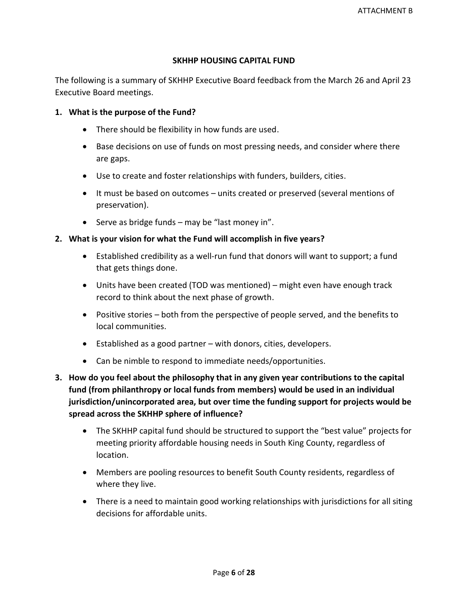## **SKHHP HOUSING CAPITAL FUND**

The following is a summary of SKHHP Executive Board feedback from the March 26 and April 23 Executive Board meetings.

## **1. What is the purpose of the Fund?**

- There should be flexibility in how funds are used.
- Base decisions on use of funds on most pressing needs, and consider where there are gaps.
- Use to create and foster relationships with funders, builders, cities.
- It must be based on outcomes units created or preserved (several mentions of preservation).
- Serve as bridge funds may be "last money in".

## **2. What is your vision for what the Fund will accomplish in five years?**

- Established credibility as a well-run fund that donors will want to support; a fund that gets things done.
- Units have been created (TOD was mentioned) might even have enough track record to think about the next phase of growth.
- Positive stories both from the perspective of people served, and the benefits to local communities.
- Established as a good partner with donors, cities, developers.
- Can be nimble to respond to immediate needs/opportunities.
- **3. How do you feel about the philosophy that in any given year contributions to the capital fund (from philanthropy or local funds from members) would be used in an individual jurisdiction/unincorporated area, but over time the funding support for projects would be spread across the SKHHP sphere of influence?**
	- The SKHHP capital fund should be structured to support the "best value" projects for meeting priority affordable housing needs in South King County, regardless of location.
	- Members are pooling resources to benefit South County residents, regardless of where they live.
	- There is a need to maintain good working relationships with jurisdictions for all siting decisions for affordable units.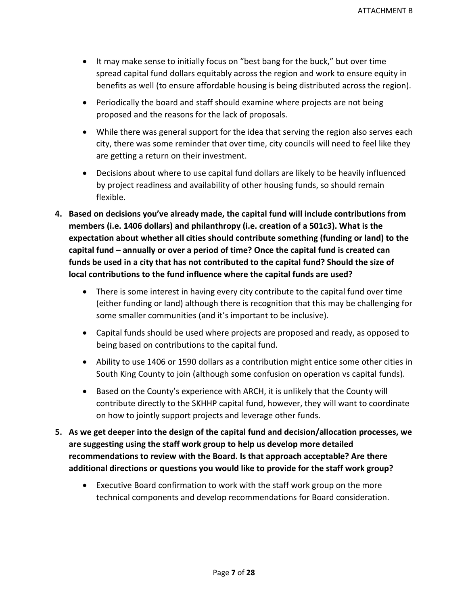- It may make sense to initially focus on "best bang for the buck," but over time spread capital fund dollars equitably across the region and work to ensure equity in benefits as well (to ensure affordable housing is being distributed across the region).
- Periodically the board and staff should examine where projects are not being proposed and the reasons for the lack of proposals.
- While there was general support for the idea that serving the region also serves each city, there was some reminder that over time, city councils will need to feel like they are getting a return on their investment.
- Decisions about where to use capital fund dollars are likely to be heavily influenced by project readiness and availability of other housing funds, so should remain flexible.
- **4. Based on decisions you've already made, the capital fund will include contributions from members (i.e. 1406 dollars) and philanthropy (i.e. creation of a 501c3). What is the expectation about whether all cities should contribute something (funding or land) to the capital fund – annually or over a period of time? Once the capital fund is created can funds be used in a city that has not contributed to the capital fund? Should the size of local contributions to the fund influence where the capital funds are used?** 
	- There is some interest in having every city contribute to the capital fund over time (either funding or land) although there is recognition that this may be challenging for some smaller communities (and it's important to be inclusive).
	- Capital funds should be used where projects are proposed and ready, as opposed to being based on contributions to the capital fund.
	- Ability to use 1406 or 1590 dollars as a contribution might entice some other cities in South King County to join (although some confusion on operation vs capital funds).
	- Based on the County's experience with ARCH, it is unlikely that the County will contribute directly to the SKHHP capital fund, however, they will want to coordinate on how to jointly support projects and leverage other funds.
- **5. As we get deeper into the design of the capital fund and decision/allocation processes, we are suggesting using the staff work group to help us develop more detailed recommendations to review with the Board. Is that approach acceptable? Are there additional directions or questions you would like to provide for the staff work group?**
	- Executive Board confirmation to work with the staff work group on the more technical components and develop recommendations for Board consideration.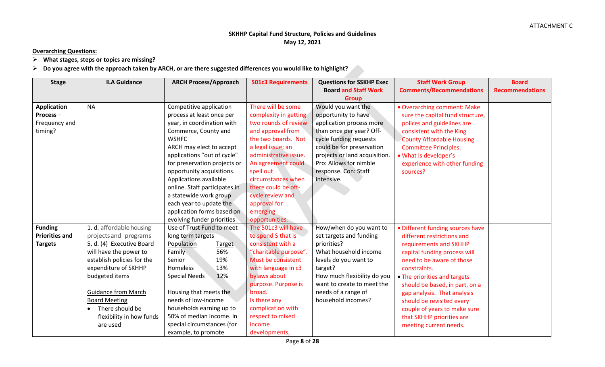## **SKHHP Capital Fund Structure, Policies and Guidelines May 12, 2021**

**Overarching Questions:**

➢ **What stages, steps or topics are missing?**

## ➢ **Do you agree with the approach taken by ARCH, or are there suggested differences you would like to highlight?**

| <b>Stage</b>          | <b>ILA Guidance</b>        | <b>ARCH Process/Approach</b>  | <b>501c3 Requirements</b> | <b>Questions for SSKHP Exec</b> | <b>Staff Work Group</b>          | <b>Board</b>           |
|-----------------------|----------------------------|-------------------------------|---------------------------|---------------------------------|----------------------------------|------------------------|
|                       |                            |                               |                           | <b>Board and Staff Work</b>     | <b>Comments/Recommendations</b>  | <b>Recommendations</b> |
|                       |                            |                               |                           | <b>Group</b>                    |                                  |                        |
| <b>Application</b>    | <b>NA</b>                  | Competitive application       | There will be some        | Would you want the              | • Overarching comment: Make      |                        |
| Process-              |                            | process at least once per     | complexity in getting     | opportunity to have             | sure the capital fund structure, |                        |
| Frequency and         |                            | year, in coordination with    | two rounds of review      | application process more        | polices and guidelines are       |                        |
| timing?               |                            | Commerce, County and          | and approval from         | than once per year? Off-        | consistent with the King         |                        |
|                       |                            | <b>WSHFC</b>                  | the two boards. Not       | cycle funding requests          | <b>County Affordable Housing</b> |                        |
|                       |                            | ARCH may elect to accept      | a legal issue; an         | could be for preservation       | <b>Committee Principles.</b>     |                        |
|                       |                            | applications "out of cycle"   | administrative issue.     | projects or land acquisition.   | · What is developer's            |                        |
|                       |                            | for preservation projects or  | An agreement could        | Pro: Allows for nimble          | experience with other funding    |                        |
|                       |                            | opportunity acquisitions.     | spell out                 | response. Con: Staff            | sources?                         |                        |
|                       |                            | Applications available        | circumstances when        | intensive.                      |                                  |                        |
|                       |                            | online. Staff participates in | there could be off-       |                                 |                                  |                        |
|                       |                            | a statewide work group        | cycle review and          |                                 |                                  |                        |
|                       |                            | each year to update the       | approval for              |                                 |                                  |                        |
|                       |                            | application forms based on    | emerging                  |                                 |                                  |                        |
|                       |                            | evolving funder priorities    | opportunities.            |                                 |                                  |                        |
| <b>Funding</b>        | 1. d. affordable housing   | Use of Trust Fund to meet     | The 501c3 will have       | How/when do you want to         | • Different funding sources have |                        |
| <b>Priorities and</b> | projects and programs      | long term targets             | to spend \$ that is       | set targets and funding         | different restrictions and       |                        |
| <b>Targets</b>        | 5. d. (4) Executive Board  | Population<br><b>Target</b>   | consistent with a         | priorities?                     | requirements and SKHHP           |                        |
|                       | will have the power to     | 56%<br>Family                 | "charitable purpose".     | What household income           | capital funding process will     |                        |
|                       | establish policies for the | 19%<br>Senior                 | Must be consistent        | levels do you want to           | need to be aware of those        |                        |
|                       | expenditure of SKHHP       | 13%<br>Homeless               | with language in c3       | target?                         | constraints.                     |                        |
|                       | budgeted items             | 12%<br><b>Special Needs</b>   | bylaws about              | How much flexibility do you     | • The priorities and targets     |                        |
|                       |                            |                               | purpose. Purpose is       | want to create to meet the      | should be based, in part, on a   |                        |
|                       | <b>Guidance from March</b> | Housing that meets the        | broad.                    | needs of a range of             | gap analysis. That analysis      |                        |
|                       | <b>Board Meeting</b>       | needs of low-income           | Is there any              | household incomes?              | should be revisited every        |                        |
|                       | There should be            | households earning up to      | complication with         |                                 | couple of years to make sure     |                        |
|                       | flexibility in how funds   | 50% of median income. In      | respect to mixed          |                                 | that SKHHP priorities are        |                        |
|                       | are used                   | special circumstances (for    | income                    |                                 | meeting current needs.           |                        |
|                       |                            | example, to promote           | developments,             |                                 |                                  |                        |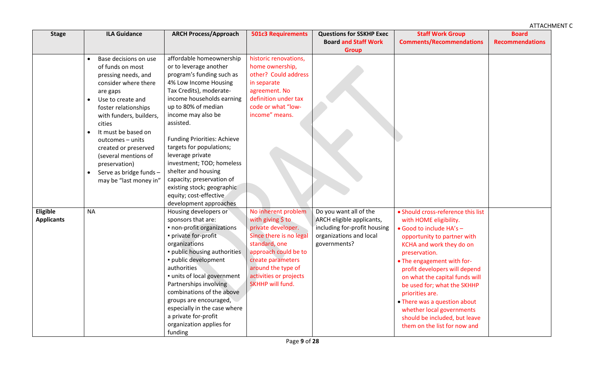| <b>Stage</b>                  | <b>ILA Guidance</b>                                                                                                                                                                                                                                                                                                                                                               | <b>ARCH Process/Approach</b>                                                                                                                                                                                                                                                                                                                                                                                                                                                        | <b>501c3 Requirements</b>                                                                                                                                                                                                   | <b>Questions for SSKHP Exec</b><br><b>Board and Staff Work</b>                                                                 | <b>Staff Work Group</b><br><b>Comments/Recommendations</b>                                                                                                                                                                                                                                                                                                                                                                                            | <b>Board</b><br><b>Recommendations</b> |
|-------------------------------|-----------------------------------------------------------------------------------------------------------------------------------------------------------------------------------------------------------------------------------------------------------------------------------------------------------------------------------------------------------------------------------|-------------------------------------------------------------------------------------------------------------------------------------------------------------------------------------------------------------------------------------------------------------------------------------------------------------------------------------------------------------------------------------------------------------------------------------------------------------------------------------|-----------------------------------------------------------------------------------------------------------------------------------------------------------------------------------------------------------------------------|--------------------------------------------------------------------------------------------------------------------------------|-------------------------------------------------------------------------------------------------------------------------------------------------------------------------------------------------------------------------------------------------------------------------------------------------------------------------------------------------------------------------------------------------------------------------------------------------------|----------------------------------------|
|                               |                                                                                                                                                                                                                                                                                                                                                                                   |                                                                                                                                                                                                                                                                                                                                                                                                                                                                                     |                                                                                                                                                                                                                             | <b>Group</b>                                                                                                                   |                                                                                                                                                                                                                                                                                                                                                                                                                                                       |                                        |
|                               | Base decisions on use<br>of funds on most<br>pressing needs, and<br>consider where there<br>are gaps<br>Use to create and<br>$\bullet$<br>foster relationships<br>with funders, builders,<br>cities<br>It must be based on<br>outcomes - units<br>created or preserved<br>(several mentions of<br>preservation)<br>Serve as bridge funds -<br>$\bullet$<br>may be "last money in" | affordable homeownership<br>or to leverage another<br>program's funding such as<br>4% Low Income Housing<br>Tax Credits), moderate-<br>income households earning<br>up to 80% of median<br>income may also be<br>assisted.<br><b>Funding Priorities: Achieve</b><br>targets for populations;<br>leverage private<br>investment; TOD; homeless<br>shelter and housing<br>capacity; preservation of<br>existing stock; geographic<br>equity; cost-effective<br>development approaches | historic renovations,<br>home ownership,<br>other? Could address<br>in separate<br>agreement. No<br>definition under tax<br>code or what "low-<br>income" means.                                                            |                                                                                                                                |                                                                                                                                                                                                                                                                                                                                                                                                                                                       |                                        |
| Eligible<br><b>Applicants</b> | <b>NA</b>                                                                                                                                                                                                                                                                                                                                                                         | Housing developers or<br>sponsors that are:<br>· non-profit organizations<br>private for-profit<br>organizations<br>· public housing authorities<br>· public development<br>authorities<br>· units of local government<br>Partnerships involving<br>combinations of the above<br>groups are encouraged,<br>especially in the case where<br>a private for-profit<br>organization applies for<br>funding                                                                              | No inherent problem<br>with giving \$ to<br>private developer.<br>Since there is no legal<br>standard, one<br>approach could be to<br>create parameters<br>around the type of<br>activities or projects<br>SKHHP will fund. | Do you want all of the<br>ARCH eligible applicants,<br>including for-profit housing<br>organizations and local<br>governments? | • Should cross-reference this list<br>with HOME eligibility.<br>· Good to include HA's -<br>opportunity to partner with<br>KCHA and work they do on<br>preservation.<br>• The engagement with for-<br>profit developers will depend<br>on what the capital funds will<br>be used for; what the SKHHP<br>priorities are.<br>• There was a question about<br>whether local governments<br>should be included, but leave<br>them on the list for now and |                                        |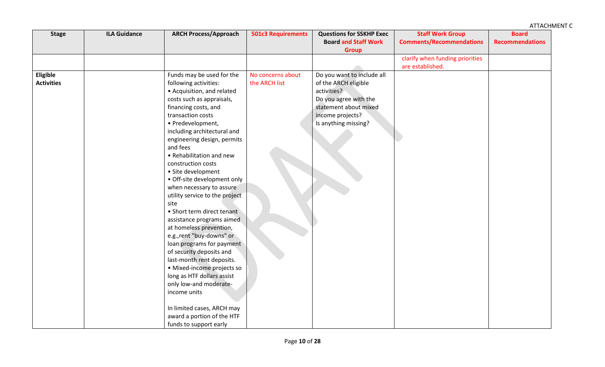| <b>Stage</b>      | <b>ILA Guidance</b> | <b>ARCH Process/Approach</b>   | <b>501c3 Requirements</b> | <b>Questions for SSKHP Exec</b><br><b>Board and Staff Work</b><br><b>Group</b> | <b>Staff Work Group</b><br><b>Comments/Recommendations</b> | <b>Board</b><br><b>Recommendations</b> |
|-------------------|---------------------|--------------------------------|---------------------------|--------------------------------------------------------------------------------|------------------------------------------------------------|----------------------------------------|
|                   |                     |                                |                           |                                                                                | clarify when funding priorities                            |                                        |
|                   |                     |                                |                           |                                                                                | are established.                                           |                                        |
| Eligible          |                     | Funds may be used for the      | No concerns about         | Do you want to include all                                                     |                                                            |                                        |
| <b>Activities</b> |                     | following activities:          | the ARCH list             | of the ARCH eligible                                                           |                                                            |                                        |
|                   |                     | • Acquisition, and related     |                           | activities?                                                                    |                                                            |                                        |
|                   |                     | costs such as appraisals,      |                           | Do you agree with the                                                          |                                                            |                                        |
|                   |                     | financing costs, and           |                           | statement about mixed                                                          |                                                            |                                        |
|                   |                     | transaction costs              |                           | income projects?                                                               |                                                            |                                        |
|                   |                     | · Predevelopment,              |                           | Is anything missing?                                                           |                                                            |                                        |
|                   |                     | including architectural and    |                           |                                                                                |                                                            |                                        |
|                   |                     | engineering design, permits    |                           |                                                                                |                                                            |                                        |
|                   |                     | and fees                       |                           |                                                                                |                                                            |                                        |
|                   |                     | • Rehabilitation and new       |                           |                                                                                |                                                            |                                        |
|                   |                     | construction costs             |                           |                                                                                |                                                            |                                        |
|                   |                     | • Site development             |                           |                                                                                |                                                            |                                        |
|                   |                     | • Off-site development only    |                           |                                                                                |                                                            |                                        |
|                   |                     | when necessary to assure       |                           |                                                                                |                                                            |                                        |
|                   |                     | utility service to the project |                           |                                                                                |                                                            |                                        |
|                   |                     | site                           |                           |                                                                                |                                                            |                                        |
|                   |                     | • Short term direct tenant     |                           |                                                                                |                                                            |                                        |
|                   |                     | assistance programs aimed      |                           |                                                                                |                                                            |                                        |
|                   |                     | at homeless prevention,        |                           |                                                                                |                                                            |                                        |
|                   |                     | e.g., rent "buy-downs" or      |                           |                                                                                |                                                            |                                        |
|                   |                     | loan programs for payment      |                           |                                                                                |                                                            |                                        |
|                   |                     | of security deposits and       |                           |                                                                                |                                                            |                                        |
|                   |                     | last-month rent deposits.      |                           |                                                                                |                                                            |                                        |
|                   |                     | · Mixed-income projects so     |                           |                                                                                |                                                            |                                        |
|                   |                     | long as HTF dollars assist     |                           |                                                                                |                                                            |                                        |
|                   |                     | only low-and moderate-         |                           |                                                                                |                                                            |                                        |
|                   |                     | income units                   |                           |                                                                                |                                                            |                                        |
|                   |                     | In limited cases, ARCH may     |                           |                                                                                |                                                            |                                        |
|                   |                     | award a portion of the HTF     |                           |                                                                                |                                                            |                                        |
|                   |                     | funds to support early         |                           |                                                                                |                                                            |                                        |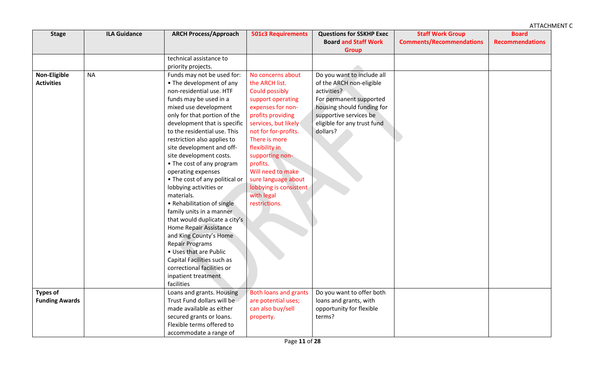| <b>Stage</b>          | <b>ILA Guidance</b> | <b>ARCH Process/Approach</b>   | <b>501c3 Requirements</b>    | <b>Questions for SSKHP Exec</b> | <b>Staff Work Group</b>         | <b>Board</b>           |
|-----------------------|---------------------|--------------------------------|------------------------------|---------------------------------|---------------------------------|------------------------|
|                       |                     |                                |                              | <b>Board and Staff Work</b>     | <b>Comments/Recommendations</b> | <b>Recommendations</b> |
|                       |                     |                                |                              | <b>Group</b>                    |                                 |                        |
|                       |                     | technical assistance to        |                              |                                 |                                 |                        |
|                       |                     | priority projects.             |                              |                                 |                                 |                        |
| Non-Eligible          | <b>NA</b>           | Funds may not be used for:     | No concerns about            | Do you want to include all      |                                 |                        |
| <b>Activities</b>     |                     | • The development of any       | the ARCH list.               | of the ARCH non-eligible        |                                 |                        |
|                       |                     | non-residential use. HTF       | <b>Could possibly</b>        | activities?                     |                                 |                        |
|                       |                     | funds may be used in a         | support operating            | For permanent supported         |                                 |                        |
|                       |                     | mixed use development          | expenses for non-            | housing should funding for      |                                 |                        |
|                       |                     | only for that portion of the   | profits providing            | supportive services be          |                                 |                        |
|                       |                     | development that is specific   | services, but likely         | eligible for any trust fund     |                                 |                        |
|                       |                     | to the residential use. This   | not for for-profits.         | dollars?                        |                                 |                        |
|                       |                     | restriction also applies to    | There is more                |                                 |                                 |                        |
|                       |                     | site development and off-      | flexibility in               |                                 |                                 |                        |
|                       |                     | site development costs.        | supporting non-              |                                 |                                 |                        |
|                       |                     | • The cost of any program      | profits.                     |                                 |                                 |                        |
|                       |                     | operating expenses             | Will need to make            |                                 |                                 |                        |
|                       |                     | • The cost of any political or | sure language about          |                                 |                                 |                        |
|                       |                     | lobbying activities or         | lobbying is consistent       |                                 |                                 |                        |
|                       |                     | materials.                     | with legal                   |                                 |                                 |                        |
|                       |                     | • Rehabilitation of single     | restrictions.                |                                 |                                 |                        |
|                       |                     | family units in a manner       |                              |                                 |                                 |                        |
|                       |                     | that would duplicate a city's  |                              |                                 |                                 |                        |
|                       |                     | Home Repair Assistance         |                              |                                 |                                 |                        |
|                       |                     | and King County's Home         |                              |                                 |                                 |                        |
|                       |                     | <b>Repair Programs</b>         |                              |                                 |                                 |                        |
|                       |                     | • Uses that are Public         |                              |                                 |                                 |                        |
|                       |                     | Capital Facilities such as     |                              |                                 |                                 |                        |
|                       |                     | correctional facilities or     |                              |                                 |                                 |                        |
|                       |                     | inpatient treatment            |                              |                                 |                                 |                        |
|                       |                     | facilities                     |                              |                                 |                                 |                        |
| <b>Types of</b>       |                     | Loans and grants. Housing      | <b>Both loans and grants</b> | Do you want to offer both       |                                 |                        |
| <b>Funding Awards</b> |                     | Trust Fund dollars will be     | are potential uses;          | loans and grants, with          |                                 |                        |
|                       |                     | made available as either       | can also buy/sell            | opportunity for flexible        |                                 |                        |
|                       |                     | secured grants or loans.       | property.                    | terms?                          |                                 |                        |
|                       |                     | Flexible terms offered to      |                              |                                 |                                 |                        |
|                       |                     | accommodate a range of         |                              |                                 |                                 |                        |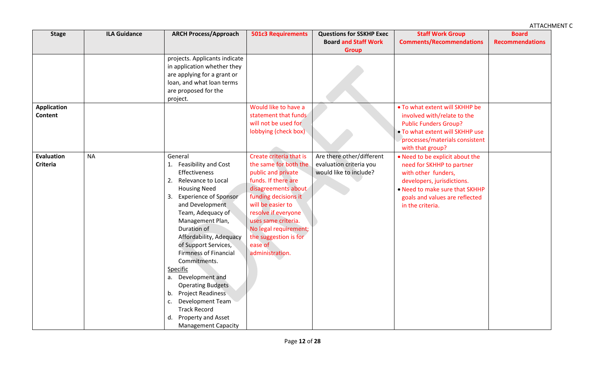| <b>Stage</b>                         | <b>ILA Guidance</b> | <b>ARCH Process/Approach</b>                                                                                                                                                                                                                                                                                                                                                                                                                                                                                                                 | <b>501c3 Requirements</b>                                                                                                                                                                                                                                                                       | <b>Questions for SSKHP Exec</b>                                                | <b>Staff Work Group</b>                                                                                                                                                                                   | <b>Board</b>           |
|--------------------------------------|---------------------|----------------------------------------------------------------------------------------------------------------------------------------------------------------------------------------------------------------------------------------------------------------------------------------------------------------------------------------------------------------------------------------------------------------------------------------------------------------------------------------------------------------------------------------------|-------------------------------------------------------------------------------------------------------------------------------------------------------------------------------------------------------------------------------------------------------------------------------------------------|--------------------------------------------------------------------------------|-----------------------------------------------------------------------------------------------------------------------------------------------------------------------------------------------------------|------------------------|
|                                      |                     |                                                                                                                                                                                                                                                                                                                                                                                                                                                                                                                                              |                                                                                                                                                                                                                                                                                                 | <b>Board and Staff Work</b><br><b>Group</b>                                    | <b>Comments/Recommendations</b>                                                                                                                                                                           | <b>Recommendations</b> |
|                                      |                     | projects. Applicants indicate<br>in application whether they<br>are applying for a grant or<br>loan, and what loan terms<br>are proposed for the<br>project.                                                                                                                                                                                                                                                                                                                                                                                 |                                                                                                                                                                                                                                                                                                 |                                                                                |                                                                                                                                                                                                           |                        |
| <b>Application</b><br><b>Content</b> |                     |                                                                                                                                                                                                                                                                                                                                                                                                                                                                                                                                              | Would like to have a<br>statement that funds<br>will not be used for<br>lobbying (check box)                                                                                                                                                                                                    |                                                                                | . To what extent will SKHHP be<br>involved with/relate to the<br><b>Public Funders Group?</b><br>. To what extent will SKHHP use<br>processes/materials consistent<br>with that group?                    |                        |
| <b>Evaluation</b><br>Criteria        | <b>NA</b>           | General<br>Feasibility and Cost<br><b>Effectiveness</b><br>Relevance to Local<br>2.<br><b>Housing Need</b><br><b>Experience of Sponsor</b><br>3.<br>and Development<br>Team, Adequacy of<br>Management Plan,<br>Duration of<br>Affordability, Adequacy<br>of Support Services,<br><b>Firmness of Financial</b><br>Commitments.<br>Specific<br>Development and<br>а.<br><b>Operating Budgets</b><br><b>Project Readiness</b><br>b.<br>Development Team<br>c.<br><b>Track Record</b><br>Property and Asset<br>d.<br><b>Management Capacity</b> | Create criteria that is<br>the same for both the<br>public and private<br>funds. If there are<br>disagreements about<br>funding decisions it<br>will be easier to<br>resolve if everyone<br>uses same criteria.<br>No legal requirement;<br>the suggestion is for<br>ease of<br>administration. | Are there other/different<br>evaluation criteria you<br>would like to include? | . Need to be explicit about the<br>need for SKHHP to partner<br>with other funders,<br>developers, jurisdictions.<br>• Need to make sure that SKHHP<br>goals and values are reflected<br>in the criteria. |                        |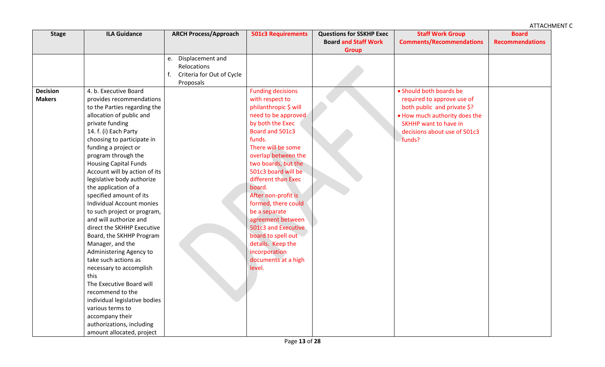| <b>Stage</b>    | <b>ILA Guidance</b>              | <b>ARCH Process/Approach</b>    | <b>501c3 Requirements</b> | <b>Questions for SSKHP Exec</b> | <b>Staff Work Group</b>         | <b>Board</b>           |
|-----------------|----------------------------------|---------------------------------|---------------------------|---------------------------------|---------------------------------|------------------------|
|                 |                                  |                                 |                           | <b>Board and Staff Work</b>     | <b>Comments/Recommendations</b> | <b>Recommendations</b> |
|                 |                                  |                                 |                           | <b>Group</b>                    |                                 |                        |
|                 |                                  | Displacement and<br>e.          |                           |                                 |                                 |                        |
|                 |                                  | Relocations                     |                           |                                 |                                 |                        |
|                 |                                  | f.<br>Criteria for Out of Cycle |                           |                                 |                                 |                        |
|                 |                                  | Proposals                       |                           |                                 |                                 |                        |
| <b>Decision</b> | 4. b. Executive Board            |                                 | <b>Funding decisions</b>  |                                 | • Should both boards be         |                        |
| <b>Makers</b>   | provides recommendations         |                                 | with respect to           |                                 | required to approve use of      |                        |
|                 | to the Parties regarding the     |                                 | philanthropic \$ will     |                                 | both public and private \$?     |                        |
|                 | allocation of public and         |                                 | need to be approved       |                                 | . How much authority does the   |                        |
|                 | private funding                  |                                 | by both the Exec          |                                 | SKHHP want to have in           |                        |
|                 | 14. f. (i) Each Party            |                                 | Board and 501c3           |                                 | decisions about use of 501c3    |                        |
|                 | choosing to participate in       |                                 | funds.                    |                                 | funds?                          |                        |
|                 | funding a project or             |                                 | There will be some        |                                 |                                 |                        |
|                 | program through the              |                                 | overlap between the       |                                 |                                 |                        |
|                 | <b>Housing Capital Funds</b>     |                                 | two boards, but the       |                                 |                                 |                        |
|                 | Account will by action of its    |                                 | 501c3 board will be       |                                 |                                 |                        |
|                 | legislative body authorize       |                                 | different than Exec       |                                 |                                 |                        |
|                 | the application of a             |                                 | board.                    |                                 |                                 |                        |
|                 | specified amount of its          |                                 | After non-profit is       |                                 |                                 |                        |
|                 | <b>Individual Account monies</b> |                                 | formed, there could       |                                 |                                 |                        |
|                 | to such project or program,      |                                 | be a separate             |                                 |                                 |                        |
|                 | and will authorize and           |                                 | agreement between         |                                 |                                 |                        |
|                 | direct the SKHHP Executive       |                                 | 501c3 and Executive       |                                 |                                 |                        |
|                 | Board, the SKHHP Program         |                                 | board to spell out        |                                 |                                 |                        |
|                 | Manager, and the                 |                                 | details. Keep the         |                                 |                                 |                        |
|                 | Administering Agency to          |                                 | incorporation             |                                 |                                 |                        |
|                 | take such actions as             |                                 | documents at a high       |                                 |                                 |                        |
|                 | necessary to accomplish          |                                 | level.                    |                                 |                                 |                        |
|                 | this                             |                                 |                           |                                 |                                 |                        |
|                 | The Executive Board will         |                                 |                           |                                 |                                 |                        |
|                 | recommend to the                 |                                 |                           |                                 |                                 |                        |
|                 | individual legislative bodies    |                                 |                           |                                 |                                 |                        |
|                 | various terms to                 |                                 |                           |                                 |                                 |                        |
|                 | accompany their                  |                                 |                           |                                 |                                 |                        |
|                 | authorizations, including        |                                 |                           |                                 |                                 |                        |
|                 | amount allocated, project        |                                 |                           |                                 |                                 |                        |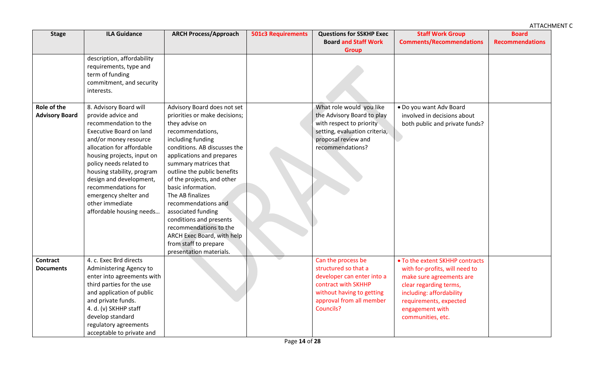| <b>Stage</b>                         | <b>ILA Guidance</b>                                                                                                                                                                                                                                                                                                                                                            | <b>ARCH Process/Approach</b>                                                                                                                                                                                                                                                                                                                                                                                                                                                                             | <b>501c3 Requirements</b> | <b>Questions for SSKHP Exec</b><br><b>Board and Staff Work</b><br><b>Group</b>                                                                                        | <b>Staff Work Group</b><br><b>Comments/Recommendations</b>                                                                                                                                                            | <b>Board</b><br><b>Recommendations</b> |
|--------------------------------------|--------------------------------------------------------------------------------------------------------------------------------------------------------------------------------------------------------------------------------------------------------------------------------------------------------------------------------------------------------------------------------|----------------------------------------------------------------------------------------------------------------------------------------------------------------------------------------------------------------------------------------------------------------------------------------------------------------------------------------------------------------------------------------------------------------------------------------------------------------------------------------------------------|---------------------------|-----------------------------------------------------------------------------------------------------------------------------------------------------------------------|-----------------------------------------------------------------------------------------------------------------------------------------------------------------------------------------------------------------------|----------------------------------------|
|                                      | description, affordability<br>requirements, type and<br>term of funding<br>commitment, and security<br>interests.                                                                                                                                                                                                                                                              |                                                                                                                                                                                                                                                                                                                                                                                                                                                                                                          |                           |                                                                                                                                                                       |                                                                                                                                                                                                                       |                                        |
| Role of the<br><b>Advisory Board</b> | 8. Advisory Board will<br>provide advice and<br>recommendation to the<br><b>Executive Board on land</b><br>and/or money resource<br>allocation for affordable<br>housing projects, input on<br>policy needs related to<br>housing stability, program<br>design and development,<br>recommendations for<br>emergency shelter and<br>other immediate<br>affordable housing needs | Advisory Board does not set<br>priorities or make decisions;<br>they advise on<br>recommendations,<br>including funding<br>conditions. AB discusses the<br>applications and prepares<br>summary matrices that<br>outline the public benefits<br>of the projects, and other<br>basic information.<br>The AB finalizes<br>recommendations and<br>associated funding<br>conditions and presents<br>recommendations to the<br>ARCH Exec Board, with help<br>from staff to prepare<br>presentation materials. |                           | What role would you like<br>the Advisory Board to play<br>with respect to priority<br>setting, evaluation criteria,<br>proposal review and<br>recommendations?        | . Do you want Adv Board<br>involved in decisions about<br>both public and private funds?                                                                                                                              |                                        |
| <b>Contract</b><br><b>Documents</b>  | 4. c. Exec Brd directs<br>Administering Agency to<br>enter into agreements with<br>third parties for the use<br>and application of public<br>and private funds.<br>4. d. (v) SKHHP staff<br>develop standard<br>regulatory agreements<br>acceptable to private and                                                                                                             |                                                                                                                                                                                                                                                                                                                                                                                                                                                                                                          |                           | Can the process be<br>structured so that a<br>developer can enter into a<br>contract with SKHHP<br>without having to getting<br>approval from all member<br>Councils? | • To the extent SKHHP contracts<br>with for-profits, will need to<br>make sure agreements are<br>clear regarding terms,<br>including: affordability<br>requirements, expected<br>engagement with<br>communities, etc. |                                        |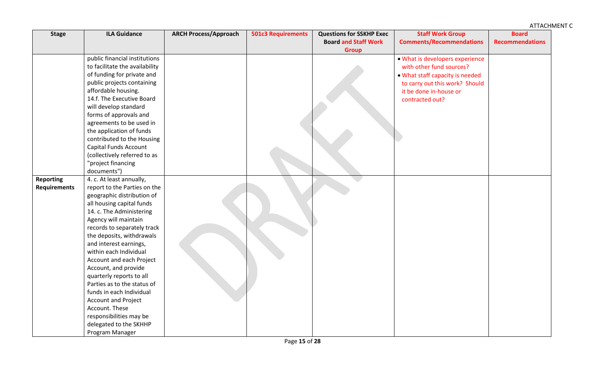| <b>Stage</b>        | <b>ILA Guidance</b>            | <b>ARCH Process/Approach</b> | <b>501c3 Requirements</b> | <b>Questions for SSKHP Exec</b> | <b>Staff Work Group</b>         | <b>Board</b>           |
|---------------------|--------------------------------|------------------------------|---------------------------|---------------------------------|---------------------------------|------------------------|
|                     |                                |                              |                           | <b>Board and Staff Work</b>     | <b>Comments/Recommendations</b> | <b>Recommendations</b> |
|                     |                                |                              |                           | <b>Group</b>                    |                                 |                        |
|                     | public financial institutions  |                              |                           |                                 | . What is developers experience |                        |
|                     | to facilitate the availability |                              |                           |                                 | with other fund sources?        |                        |
|                     | of funding for private and     |                              |                           |                                 | . What staff capacity is needed |                        |
|                     | public projects containing     |                              |                           |                                 | to carry out this work? Should  |                        |
|                     | affordable housing.            |                              |                           |                                 | it be done in-house or          |                        |
|                     | 14.f. The Executive Board      |                              |                           |                                 | contracted out?                 |                        |
|                     | will develop standard          |                              |                           |                                 |                                 |                        |
|                     | forms of approvals and         |                              |                           |                                 |                                 |                        |
|                     | agreements to be used in       |                              |                           |                                 |                                 |                        |
|                     | the application of funds       |                              |                           |                                 |                                 |                        |
|                     | contributed to the Housing     |                              |                           |                                 |                                 |                        |
|                     | Capital Funds Account          |                              |                           |                                 |                                 |                        |
|                     | (collectively referred to as   |                              |                           |                                 |                                 |                        |
|                     | "project financing             |                              |                           |                                 |                                 |                        |
|                     | documents")                    |                              |                           |                                 |                                 |                        |
| <b>Reporting</b>    | 4. c. At least annually,       |                              |                           |                                 |                                 |                        |
| <b>Requirements</b> | report to the Parties on the   |                              |                           |                                 |                                 |                        |
|                     | geographic distribution of     |                              |                           |                                 |                                 |                        |
|                     | all housing capital funds      |                              |                           |                                 |                                 |                        |
|                     | 14. c. The Administering       |                              |                           |                                 |                                 |                        |
|                     | Agency will maintain           |                              |                           |                                 |                                 |                        |
|                     | records to separately track    |                              |                           |                                 |                                 |                        |
|                     | the deposits, withdrawals      |                              |                           |                                 |                                 |                        |
|                     | and interest earnings,         |                              |                           |                                 |                                 |                        |
|                     | within each Individual         |                              |                           |                                 |                                 |                        |
|                     | Account and each Project       |                              |                           |                                 |                                 |                        |
|                     | Account, and provide           |                              |                           |                                 |                                 |                        |
|                     | quarterly reports to all       |                              |                           |                                 |                                 |                        |
|                     | Parties as to the status of    |                              |                           |                                 |                                 |                        |
|                     | funds in each Individual       |                              |                           |                                 |                                 |                        |
|                     | Account and Project            |                              |                           |                                 |                                 |                        |
|                     | Account. These                 |                              |                           |                                 |                                 |                        |
|                     | responsibilities may be        |                              |                           |                                 |                                 |                        |
|                     | delegated to the SKHHP         |                              |                           |                                 |                                 |                        |
|                     | Program Manager                |                              |                           |                                 |                                 |                        |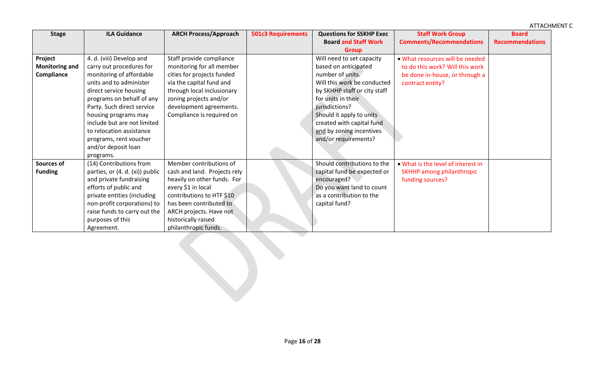| <b>Stage</b>          | <b>ILA Guidance</b>             | <b>ARCH Process/Approach</b> | <b>501c3 Requirements</b> | <b>Questions for SSKHP Exec</b> | <b>Staff Work Group</b>            | <b>Board</b>           |
|-----------------------|---------------------------------|------------------------------|---------------------------|---------------------------------|------------------------------------|------------------------|
|                       |                                 |                              |                           | <b>Board and Staff Work</b>     | <b>Comments/Recommendations</b>    | <b>Recommendations</b> |
|                       |                                 |                              |                           | <b>Group</b>                    |                                    |                        |
| Project               | 4. d. (viii) Develop and        | Staff provide compliance     |                           | Will need to set capacity       | . What resources will be needed    |                        |
| <b>Monitoring and</b> | carry out procedures for        | monitoring for all member    |                           | based on anticipated            | to do this work? Will this work    |                        |
| Compliance            | monitoring of affordable        | cities for projects funded   |                           | number of units.                | be done in-house, or through a     |                        |
|                       | units and to administer         | via the capital fund and     |                           | Will this work be conducted     | contract entity?                   |                        |
|                       | direct service housing          | through local inclusionary   |                           | by SKHHP staff or city staff    |                                    |                        |
|                       | programs on behalf of any       | zoning projects and/or       |                           | for units in their              |                                    |                        |
|                       | Party. Such direct service      | development agreements.      |                           | jurisdictions?                  |                                    |                        |
|                       | housing programs may            | Compliance is required on    |                           | Should it apply to units        |                                    |                        |
|                       | include but are not limited     |                              |                           | created with capital fund       |                                    |                        |
|                       | to relocation assistance        |                              |                           | and by zoning incentives        |                                    |                        |
|                       | programs, rent voucher          |                              |                           | and/or requirements?            |                                    |                        |
|                       | and/or deposit loan             |                              |                           |                                 |                                    |                        |
|                       | programs.                       |                              |                           |                                 |                                    |                        |
| <b>Sources of</b>     | (14) Contributions from         | Member contributions of      |                           | Should contributions to the     | . What is the level of interest in |                        |
| <b>Funding</b>        | parties, or (4. d. (xi)) public | cash and land. Projects rely |                           | capital fund be expected or     | <b>SKHHP among philanthropic</b>   |                        |
|                       | and private fundraising         | heavily on other funds. For  |                           | encouraged?                     | funding sources?                   |                        |
|                       | efforts of public and           | every \$1 in local           |                           | Do you want land to count       |                                    |                        |
|                       | private entities (including     | contributions to HTF \$10    |                           | as a contribution to the        |                                    |                        |
|                       | non-profit corporations) to     | has been contributed to      |                           | capital fund?                   |                                    |                        |
|                       | raise funds to carry out the    | ARCH projects. Have not      |                           |                                 |                                    |                        |
|                       | purposes of this                | historically raised          |                           |                                 |                                    |                        |
|                       | Agreement.                      | philanthropic funds.         |                           |                                 |                                    |                        |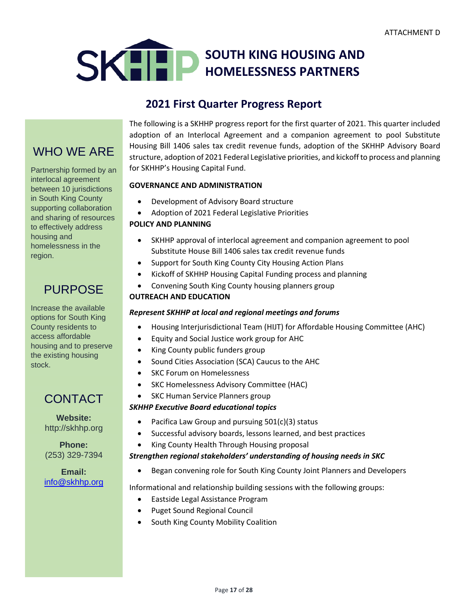

## **2021 First Quarter Progress Report**

# WHO WE ARE

Partnership formed by an interlocal agreement between 10 jurisdictions in South King County supporting collaboration and sharing of resources to effectively address housing and homelessness in the region.

## PURPOSE

Increase the available options for South King County residents to access affordable housing and to preserve the existing housing stock.

## CONTACT

**Website:** [http://skhhp.org](http://skhhp.org/)

**Phone:** (253) 329-7394

**Email:**  [info@skhhp.org](mailto:info@skhhp.org)

The following is a SKHHP progress report for the first quarter of 2021. This quarter included adoption of an Interlocal Agreement and a companion agreement to pool Substitute Housing Bill 1406 sales tax credit revenue funds, adoption of the SKHHP Advisory Board structure, adoption of 2021 Federal Legislative priorities, and kickoff to process and planning for SKHHP's Housing Capital Fund.

## **GOVERNANCE AND ADMINISTRATION**

- Development of Advisory Board structure
- Adoption of 2021 Federal Legislative Priorities

## **POLICY AND PLANNING**

- SKHHP approval of interlocal agreement and companion agreement to pool Substitute House Bill 1406 sales tax credit revenue funds
- Support for South King County City Housing Action Plans
- Kickoff of SKHHP Housing Capital Funding process and planning
- Convening South King County housing planners group

## **OUTREACH AND EDUCATION**

## *Represent SKHHP at local and regional meetings and forums*

- Housing Interjurisdictional Team (HIJT) for Affordable Housing Committee (AHC)
- Equity and Social Justice work group for AHC
- King County public funders group
- Sound Cities Association (SCA) Caucus to the AHC
- **SKC Forum on Homelessness**
- SKC Homelessness Advisory Committee (HAC)
- SKC Human Service Planners group

## *SKHHP Executive Board educational topics*

- Pacifica Law Group and pursuing 501(c)(3) status
- Successful advisory boards, lessons learned, and best practices
- King County Health Through Housing proposal

### *Strengthen regional stakeholders' understanding of housing needs in SKC*

• Began convening role for South King County Joint Planners and Developers

Informational and relationship building sessions with the following groups:

- Eastside Legal Assistance Program
- Puget Sound Regional Council
- South King County Mobility Coalition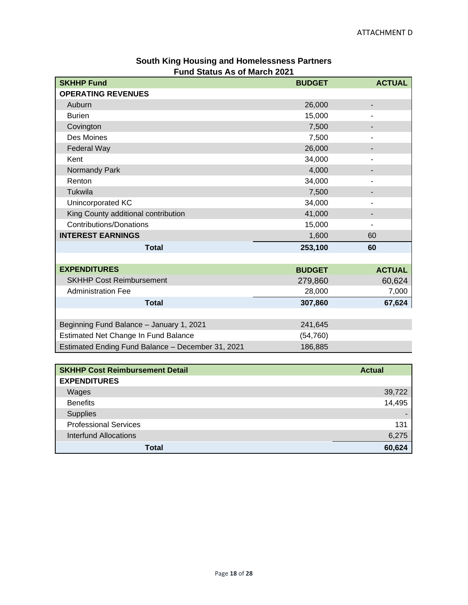| <b>SKHHP Fund</b>                                 | <b>BUDGET</b> | <b>ACTUAL</b> |
|---------------------------------------------------|---------------|---------------|
| <b>OPERATING REVENUES</b>                         |               |               |
| Auburn                                            | 26,000        | ٠             |
| <b>Burien</b>                                     | 15,000        | ۰             |
| Covington                                         | 7,500         |               |
| Des Moines                                        | 7,500         | ۰             |
| Federal Way                                       | 26,000        |               |
| Kent                                              | 34,000        |               |
| Normandy Park                                     | 4,000         |               |
| Renton                                            | 34,000        |               |
| Tukwila                                           | 7,500         |               |
| Unincorporated KC                                 | 34,000        | ٠             |
| King County additional contribution               | 41,000        | ٠             |
| <b>Contributions/Donations</b>                    | 15,000        | ۰             |
| <b>INTEREST EARNINGS</b>                          | 1,600         | 60            |
| <b>Total</b>                                      | 253,100       | 60            |
|                                                   |               |               |
| <b>EXPENDITURES</b>                               | <b>BUDGET</b> | <b>ACTUAL</b> |
| <b>SKHHP Cost Reimbursement</b>                   | 279,860       | 60,624        |
| <b>Administration Fee</b>                         | 28,000        | 7,000         |
| <b>Total</b>                                      | 307,860       | 67,624        |
|                                                   |               |               |
| Beginning Fund Balance - January 1, 2021          | 241,645       |               |
| Estimated Net Change In Fund Balance              | (54, 760)     |               |
| Estimated Ending Fund Balance - December 31, 2021 | 186,885       |               |

## **South King Housing and Homelessness Partners Fund Status As of March 2021**

| <b>SKHHP Cost Reimbursement Detail</b> | <b>Actual</b> |
|----------------------------------------|---------------|
| <b>EXPENDITURES</b>                    |               |
| Wages                                  | 39,722        |
| <b>Benefits</b>                        | 14,495        |
| <b>Supplies</b>                        |               |
| <b>Professional Services</b>           | 131           |
| Interfund Allocations                  | 6,275         |
| Total                                  | 60,624        |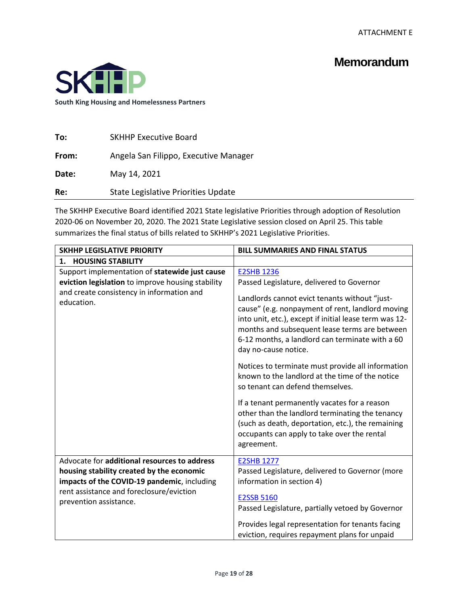## **Memorandum**



| To:   | <b>SKHHP Executive Board</b>          |
|-------|---------------------------------------|
| From: | Angela San Filippo, Executive Manager |
| Date: | May 14, 2021                          |
| Re:   | State Legislative Priorities Update   |

The SKHHP Executive Board identified 2021 State legislative Priorities through adoption of Resolution 2020-06 on November 20, 2020. The 2021 State Legislative session closed on April 25. This table summarizes the final status of bills related to SKHHP's 2021 Legislative Priorities.

| <b>SKHHP LEGISLATIVE PRIORITY</b>                                                                                                                                                                              | <b>BILL SUMMARIES AND FINAL STATUS</b>                                                                                                                                                                                                                                                                                                                        |
|----------------------------------------------------------------------------------------------------------------------------------------------------------------------------------------------------------------|---------------------------------------------------------------------------------------------------------------------------------------------------------------------------------------------------------------------------------------------------------------------------------------------------------------------------------------------------------------|
| <b>HOUSING STABILITY</b><br>1.                                                                                                                                                                                 |                                                                                                                                                                                                                                                                                                                                                               |
| Support implementation of statewide just cause<br>eviction legislation to improve housing stability<br>and create consistency in information and<br>education.                                                 | <b>E2SHB 1236</b><br>Passed Legislature, delivered to Governor<br>Landlords cannot evict tenants without "just-<br>cause" (e.g. nonpayment of rent, landlord moving<br>into unit, etc.), except if initial lease term was 12-<br>months and subsequent lease terms are between<br>6-12 months, a landlord can terminate with a 60<br>day no-cause notice.     |
|                                                                                                                                                                                                                | Notices to terminate must provide all information<br>known to the landlord at the time of the notice<br>so tenant can defend themselves.<br>If a tenant permanently vacates for a reason<br>other than the landlord terminating the tenancy<br>(such as death, deportation, etc.), the remaining<br>occupants can apply to take over the rental<br>agreement. |
| Advocate for additional resources to address<br>housing stability created by the economic<br>impacts of the COVID-19 pandemic, including<br>rent assistance and foreclosure/eviction<br>prevention assistance. | <b>E2SHB 1277</b><br>Passed Legislature, delivered to Governor (more<br>information in section 4)<br><b>E2SSB 5160</b><br>Passed Legislature, partially vetoed by Governor<br>Provides legal representation for tenants facing<br>eviction, requires repayment plans for unpaid                                                                               |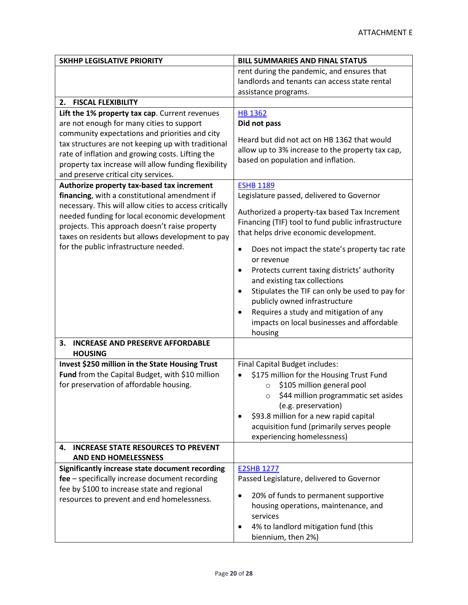| <b>SKHHP LEGISLATIVE PRIORITY</b>                                                         | <b>BILL SUMMARIES AND FINAL STATUS</b>                                                            |
|-------------------------------------------------------------------------------------------|---------------------------------------------------------------------------------------------------|
|                                                                                           | rent during the pandemic, and ensures that                                                        |
|                                                                                           | landlords and tenants can access state rental                                                     |
|                                                                                           | assistance programs.                                                                              |
| <b>FISCAL FLEXIBILITY</b><br>2.                                                           |                                                                                                   |
| Lift the 1% property tax cap. Current revenues                                            | <b>HB 1362</b>                                                                                    |
| are not enough for many cities to support                                                 | Did not pass                                                                                      |
| community expectations and priorities and city                                            | Heard but did not act on HB 1362 that would                                                       |
| tax structures are not keeping up with traditional                                        |                                                                                                   |
| rate of inflation and growing costs. Lifting the                                          | allow up to 3% increase to the property tax cap,<br>based on population and inflation.            |
| property tax increase will allow funding flexibility                                      |                                                                                                   |
| and preserve critical city services.                                                      |                                                                                                   |
| Authorize property tax-based tax increment                                                | <b>ESHB 1189</b>                                                                                  |
| financing, with a constitutional amendment if                                             | Legislature passed, delivered to Governor                                                         |
| necessary. This will allow cities to access critically                                    | Authorized a property-tax based Tax Increment                                                     |
| needed funding for local economic development                                             | Financing (TIF) tool to fund public infrastructure                                                |
| projects. This approach doesn't raise property                                            | that helps drive economic development.                                                            |
| taxes on residents but allows development to pay<br>for the public infrastructure needed. |                                                                                                   |
|                                                                                           | Does not impact the state's property tac rate<br>$\bullet$                                        |
|                                                                                           | or revenue                                                                                        |
|                                                                                           | Protects current taxing districts' authority<br>$\bullet$                                         |
|                                                                                           | and existing tax collections                                                                      |
|                                                                                           | Stipulates the TIF can only be used to pay for<br>$\bullet$                                       |
|                                                                                           | publicly owned infrastructure                                                                     |
|                                                                                           | Requires a study and mitigation of any<br>$\bullet$<br>impacts on local businesses and affordable |
|                                                                                           | housing                                                                                           |
| <b>INCREASE AND PRESERVE AFFORDABLE</b><br>3.                                             |                                                                                                   |
| <b>HOUSING</b>                                                                            |                                                                                                   |
| Invest \$250 million in the State Housing Trust                                           | Final Capital Budget includes:                                                                    |
| Fund from the Capital Budget, with \$10 million                                           | \$175 million for the Housing Trust Fund                                                          |
| for preservation of affordable housing.                                                   | \$105 million general pool<br>$\circ$                                                             |
|                                                                                           | $\circ$ \$44 million programmatic set asides                                                      |
|                                                                                           | (e.g. preservation)                                                                               |
|                                                                                           | \$93.8 million for a new rapid capital<br>٠                                                       |
|                                                                                           | acquisition fund (primarily serves people                                                         |
|                                                                                           | experiencing homelessness)                                                                        |
| <b>INCREASE STATE RESOURCES TO PREVENT</b><br>4.                                          |                                                                                                   |
| <b>AND END HOMELESSNESS</b>                                                               |                                                                                                   |
| Significantly increase state document recording                                           | <b>E2SHB 1277</b>                                                                                 |
| fee - specifically increase document recording                                            | Passed Legislature, delivered to Governor                                                         |
| fee by \$100 to increase state and regional                                               | 20% of funds to permanent supportive<br>$\bullet$                                                 |
| resources to prevent and end homelessness.                                                | housing operations, maintenance, and                                                              |
|                                                                                           | services                                                                                          |
|                                                                                           | 4% to landlord mitigation fund (this<br>٠                                                         |
|                                                                                           | biennium, then 2%)                                                                                |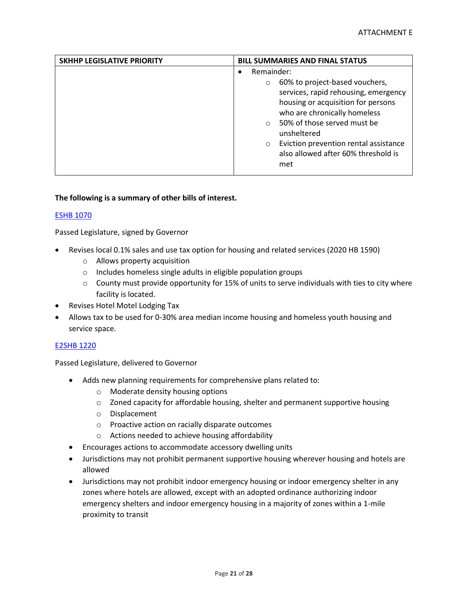| SKHHP LEGISLATIVE PRIORITY | <b>BILL SUMMARIES AND FINAL STATUS</b>                                                                                                                                                                                                                                                                             |
|----------------------------|--------------------------------------------------------------------------------------------------------------------------------------------------------------------------------------------------------------------------------------------------------------------------------------------------------------------|
|                            | Remainder:                                                                                                                                                                                                                                                                                                         |
|                            | 60% to project-based vouchers,<br>$\circ$<br>services, rapid rehousing, emergency<br>housing or acquisition for persons<br>who are chronically homeless<br>50% of those served must be<br>$\circ$<br>unsheltered<br>Eviction prevention rental assistance<br>$\circ$<br>also allowed after 60% threshold is<br>met |

#### **The following is a summary of other bills of interest.**

#### [ESHB 1070](https://app.leg.wa.gov/billsummary?BillNumber=1070&Initiative=false&Year=2021)

Passed Legislature, signed by Governor

- Revises local 0.1% sales and use tax option for housing and related services (2020 HB 1590)
	- o Allows property acquisition
	- o Includes homeless single adults in eligible population groups
	- $\circ$  County must provide opportunity for 15% of units to serve individuals with ties to city where facility is located.
- Revises Hotel Motel Lodging Tax
- Allows tax to be used for 0-30% area median income housing and homeless youth housing and service space.

#### [E2SHB 1220](https://app.leg.wa.gov/billsummary?BillNumber=1220&Initiative=false&Year=2021)

Passed Legislature, delivered to Governor

- Adds new planning requirements for comprehensive plans related to:
	- o Moderate density housing options
	- $\circ$  Zoned capacity for affordable housing, shelter and permanent supportive housing
	- o Displacement
	- o Proactive action on racially disparate outcomes
	- o Actions needed to achieve housing affordability
- Encourages actions to accommodate accessory dwelling units
- Jurisdictions may not prohibit permanent supportive housing wherever housing and hotels are allowed
- Jurisdictions may not prohibit indoor emergency housing or indoor emergency shelter in any zones where hotels are allowed, except with an adopted ordinance authorizing indoor emergency shelters and indoor emergency housing in a majority of zones within a 1-mile proximity to transit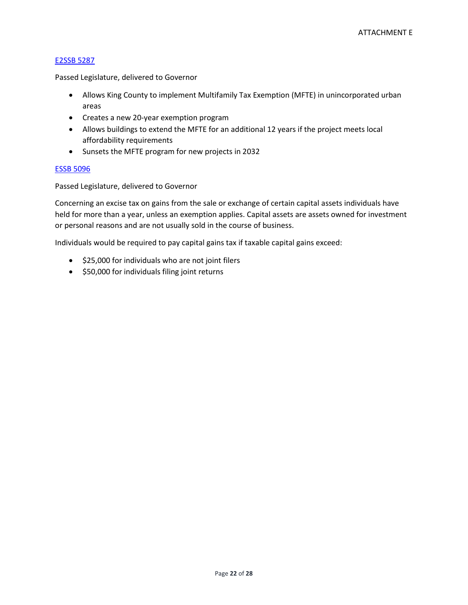#### [E2SSB](https://app.leg.wa.gov/billsummary?BillNumber=5287&Initiative=false&Year=2021) 5287

Passed Legislature, delivered to Governor

- Allows King County to implement Multifamily Tax Exemption (MFTE) in unincorporated urban areas
- Creates a new 20-year exemption program
- Allows buildings to extend the MFTE for an additional 12 years if the project meets local affordability requirements
- Sunsets the MFTE program for new projects in 2032

#### [ESSB 5096](https://app.leg.wa.gov/billsummary?BillNumber=5096&Initiative=false&Year=2021)

Passed Legislature, delivered to Governor

Concerning an excise tax on gains from the sale or exchange of certain capital assets individuals have held for more than a year, unless an exemption applies. Capital assets are assets owned for investment or personal reasons and are not usually sold in the course of business.

Individuals would be required to pay capital gains tax if taxable capital gains exceed:

- \$25,000 for individuals who are not joint filers
- \$50,000 for individuals filing joint returns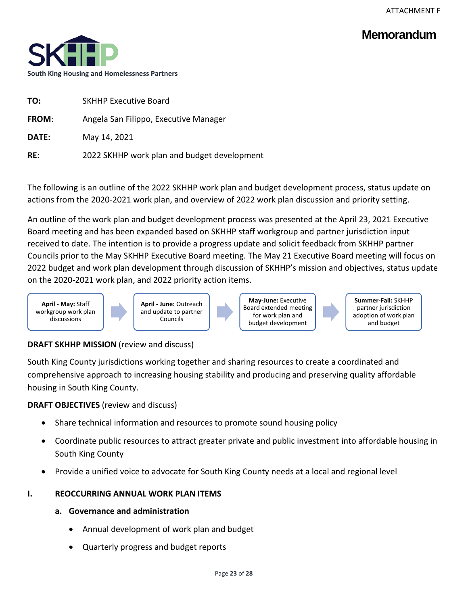## **Memorandum**



| TO:          | <b>SKHHP Executive Board</b>                |
|--------------|---------------------------------------------|
| <b>FROM:</b> | Angela San Filippo, Executive Manager       |
| <b>DATE:</b> | May 14, 2021                                |
| RE:          | 2022 SKHHP work plan and budget development |
|              |                                             |

The following is an outline of the 2022 SKHHP work plan and budget development process, status update on actions from the 2020-2021 work plan, and overview of 2022 work plan discussion and priority setting.

An outline of the work plan and budget development process was presented at the April 23, 2021 Executive Board meeting and has been expanded based on SKHHP staff workgroup and partner jurisdiction input received to date. The intention is to provide a progress update and solicit feedback from SKHHP partner Councils prior to the May SKHHP Executive Board meeting. The May 21 Executive Board meeting will focus on 2022 budget and work plan development through discussion of SKHHP's mission and objectives, status update on the 2020-2021 work plan, and 2022 priority action items.



**April - June:** Outreach and update to partner **Councils** 

**May-June:** Executive Board extended meeting for work plan and budget development

**Summer-Fall:** SKHHP partner jurisdiction adoption of work plan and budget

## **DRAFT SKHHP MISSION** (review and discuss)

South King County jurisdictions working together and sharing resources to create a coordinated and comprehensive approach to increasing housing stability and producing and preserving quality affordable housing in South King County.

**DRAFT OBJECTIVES** (review and discuss)

- Share technical information and resources to promote sound housing policy
- Coordinate public resources to attract greater private and public investment into affordable housing in South King County
- Provide a unified voice to advocate for South King County needs at a local and regional level

## **I. REOCCURRING ANNUAL WORK PLAN ITEMS**

- **a. Governance and administration**
	- Annual development of work plan and budget
	- Quarterly progress and budget reports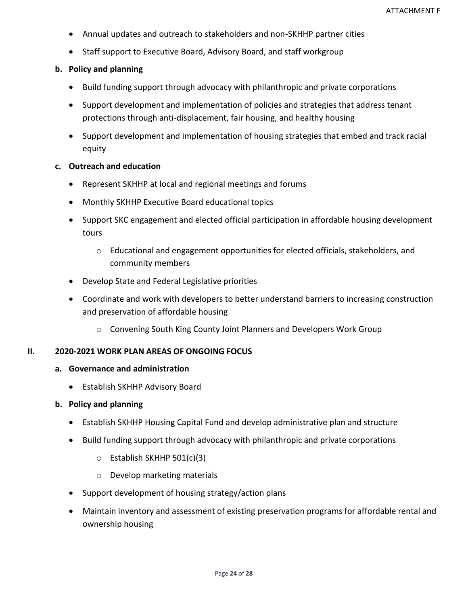- Annual updates and outreach to stakeholders and non-SKHHP partner cities
- Staff support to Executive Board, Advisory Board, and staff workgroup

## **b. Policy and planning**

- Build funding support through advocacy with philanthropic and private corporations
- Support development and implementation of policies and strategies that address tenant protections through anti-displacement, fair housing, and healthy housing
- Support development and implementation of housing strategies that embed and track racial equity

## **c. Outreach and education**

- Represent SKHHP at local and regional meetings and forums
- Monthly SKHHP Executive Board educational topics
- Support SKC engagement and elected official participation in affordable housing development tours
	- o Educational and engagement opportunities for elected officials, stakeholders, and community members
- Develop State and Federal Legislative priorities
- Coordinate and work with developers to better understand barriers to increasing construction and preservation of affordable housing
	- o Convening South King County Joint Planners and Developers Work Group

## **II. 2020-2021 WORK PLAN AREAS OF ONGOING FOCUS**

## **a. Governance and administration**

• Establish SKHHP Advisory Board

### **b. Policy and planning**

- Establish SKHHP Housing Capital Fund and develop administrative plan and structure
- Build funding support through advocacy with philanthropic and private corporations
	- o Establish SKHHP 501(c)(3)
	- o Develop marketing materials
- Support development of housing strategy/action plans
- Maintain inventory and assessment of existing preservation programs for affordable rental and ownership housing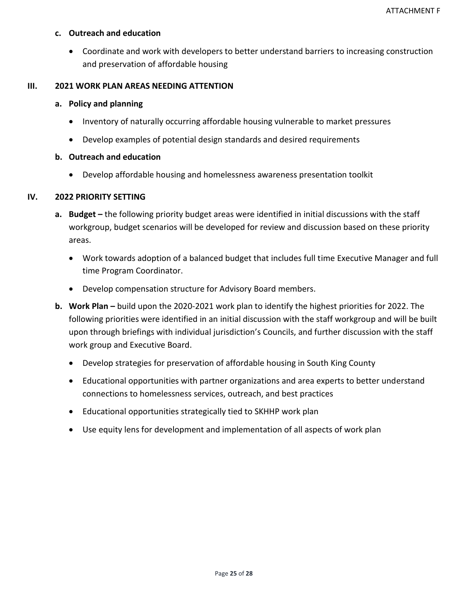### **c. Outreach and education**

• Coordinate and work with developers to better understand barriers to increasing construction and preservation of affordable housing

### **III. 2021 WORK PLAN AREAS NEEDING ATTENTION**

### **a. Policy and planning**

- Inventory of naturally occurring affordable housing vulnerable to market pressures
- Develop examples of potential design standards and desired requirements

## **b. Outreach and education**

• Develop affordable housing and homelessness awareness presentation toolkit

## **IV. 2022 PRIORITY SETTING**

- **a. Budget –** the following priority budget areas were identified in initial discussions with the staff workgroup, budget scenarios will be developed for review and discussion based on these priority areas.
	- Work towards adoption of a balanced budget that includes full time Executive Manager and full time Program Coordinator.
	- Develop compensation structure for Advisory Board members.
- **b. Work Plan –** build upon the 2020-2021 work plan to identify the highest priorities for 2022. The following priorities were identified in an initial discussion with the staff workgroup and will be built upon through briefings with individual jurisdiction's Councils, and further discussion with the staff work group and Executive Board.
	- Develop strategies for preservation of affordable housing in South King County
	- Educational opportunities with partner organizations and area experts to better understand connections to homelessness services, outreach, and best practices
	- Educational opportunities strategically tied to SKHHP work plan
	- Use equity lens for development and implementation of all aspects of work plan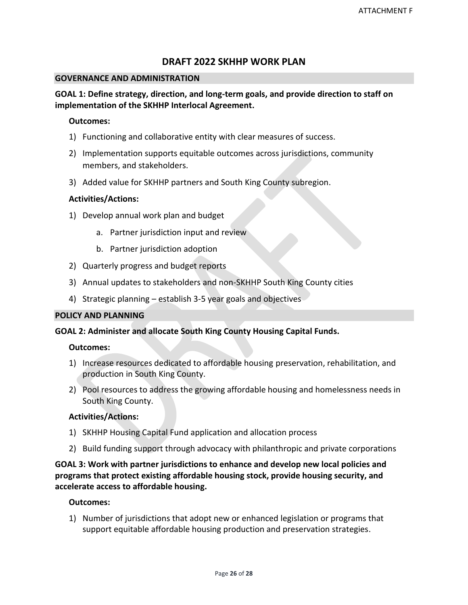## **DRAFT 2022 SKHHP WORK PLAN**

#### **GOVERNANCE AND ADMINISTRATION**

## **GOAL 1: Define strategy, direction, and long-term goals, and provide direction to staff on implementation of the SKHHP Interlocal Agreement.**

### **Outcomes:**

- 1) Functioning and collaborative entity with clear measures of success.
- 2) Implementation supports equitable outcomes across jurisdictions, community members, and stakeholders.
- 3) Added value for SKHHP partners and South King County subregion.

## **Activities/Actions:**

- 1) Develop annual work plan and budget
	- a. Partner jurisdiction input and review
	- b. Partner jurisdiction adoption
- 2) Quarterly progress and budget reports
- 3) Annual updates to stakeholders and non-SKHHP South King County cities
- 4) Strategic planning establish 3-5 year goals and objectives

## **POLICY AND PLANNING**

### **GOAL 2: Administer and allocate South King County Housing Capital Funds.**

### **Outcomes:**

- 1) Increase resources dedicated to affordable housing preservation, rehabilitation, and production in South King County.
- 2) Pool resources to address the growing affordable housing and homelessness needs in South King County.

### **Activities/Actions:**

- 1) SKHHP Housing Capital Fund application and allocation process
- 2) Build funding support through advocacy with philanthropic and private corporations

**GOAL 3: Work with partner jurisdictions to enhance and develop new local policies and programs that protect existing affordable housing stock, provide housing security, and accelerate access to affordable housing.**

### **Outcomes:**

1) Number of jurisdictions that adopt new or enhanced legislation or programs that support equitable affordable housing production and preservation strategies.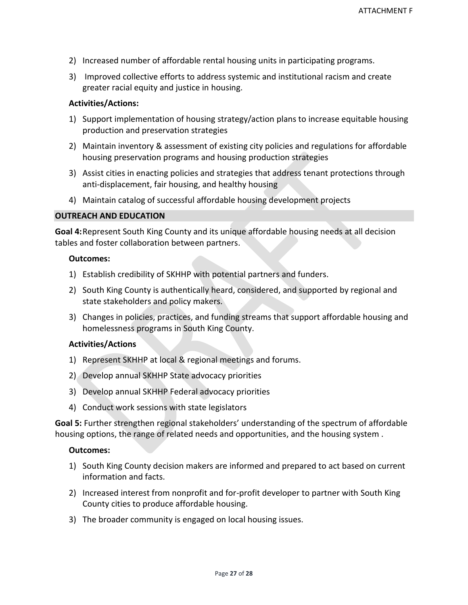- 2) Increased number of affordable rental housing units in participating programs.
- 3) Improved collective efforts to address systemic and institutional racism and create greater racial equity and justice in housing.

### **Activities/Actions:**

- 1) Support implementation of housing strategy/action plans to increase equitable housing production and preservation strategies
- 2) Maintain inventory & assessment of existing city policies and regulations for affordable housing preservation programs and housing production strategies
- 3) Assist cities in enacting policies and strategies that address tenant protections through anti-displacement, fair housing, and healthy housing
- 4) Maintain catalog of successful affordable housing development projects

### **OUTREACH AND EDUCATION**

**Goal 4:**Represent South King County and its unique affordable housing needs at all decision tables and foster collaboration between partners.

#### **Outcomes:**

- 1) Establish credibility of SKHHP with potential partners and funders.
- 2) South King County is authentically heard, considered, and supported by regional and state stakeholders and policy makers.
- 3) Changes in policies, practices, and funding streams that support affordable housing and homelessness programs in South King County.

### **Activities/Actions**

- 1) Represent SKHHP at local & regional meetings and forums.
- 2) Develop annual SKHHP State advocacy priorities
- 3) Develop annual SKHHP Federal advocacy priorities
- 4) Conduct work sessions with state legislators

**Goal 5:** Further strengthen regional stakeholders' understanding of the spectrum of affordable housing options, the range of related needs and opportunities, and the housing system .

### **Outcomes:**

- 1) South King County decision makers are informed and prepared to act based on current information and facts.
- 2) Increased interest from nonprofit and for-profit developer to partner with South King County cities to produce affordable housing.
- 3) The broader community is engaged on local housing issues.